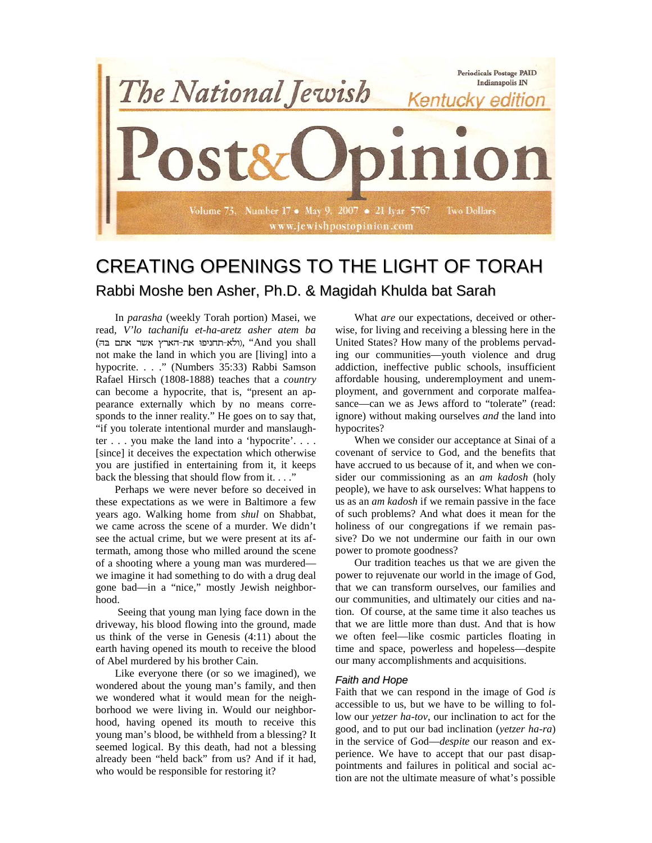

# CREATING OPENINGS TO THE LIGHT OF TORAH Rabbi Moshe ben Asher, Ph.D. & Magidah Khulda bat Sarah

In *parasha* (weekly Torah portion) Masei, we read*, V'lo tachanifu et-ha-aretz asher atem ba* ( וולא-תחניפו את-הארץ אשר אתם בה), "And you shall not make the land in which you are [living] into a hypocrite. . . ." (Numbers 35:33) Rabbi Samson Rafael Hirsch (1808-1888) teaches that a *country* can become a hypocrite, that is, "present an appearance externally which by no means corresponds to the inner reality." He goes on to say that, "if you tolerate intentional murder and manslaughter . . . you make the land into a 'hypocrite'. . . . [since] it deceives the expectation which otherwise you are justified in entertaining from it, it keeps back the blessing that should flow from it...."

Perhaps we were never before so deceived in these expectations as we were in Baltimore a few years ago. Walking home from *shul* on Shabbat, we came across the scene of a murder. We didn't see the actual crime, but we were present at its aftermath, among those who milled around the scene of a shooting where a young man was murdered we imagine it had something to do with a drug deal gone bad—in a "nice," mostly Jewish neighborhood.

Seeing that young man lying face down in the driveway, his blood flowing into the ground, made us think of the verse in Genesis (4:11) about the earth having opened its mouth to receive the blood of Abel murdered by his brother Cain.

Like everyone there (or so we imagined), we wondered about the young man's family, and then we wondered what it would mean for the neighborhood we were living in. Would our neighborhood, having opened its mouth to receive this young man's blood, be withheld from a blessing? It seemed logical. By this death, had not a blessing already been "held back" from us? And if it had, who would be responsible for restoring it?

What *are* our expectations, deceived or otherwise, for living and receiving a blessing here in the United States? How many of the problems pervading our communities—youth violence and drug addiction, ineffective public schools, insufficient affordable housing, underemployment and unemployment, and government and corporate malfeasance—can we as Jews afford to "tolerate" (read: ignore) without making ourselves *and* the land into hypocrites?

When we consider our acceptance at Sinai of a covenant of service to God, and the benefits that have accrued to us because of it, and when we consider our commissioning as an *am kadosh* (holy people), we have to ask ourselves: What happens to us as an *am kadosh* if we remain passive in the face of such problems? And what does it mean for the holiness of our congregations if we remain passive? Do we not undermine our faith in our own power to promote goodness?

Our tradition teaches us that we are given the power to rejuvenate our world in the image of God, that we can transform ourselves, our families and our communities, and ultimately our cities and nation. Of course, at the same time it also teaches us that we are little more than dust. And that is how we often feel—like cosmic particles floating in time and space, powerless and hopeless—despite our many accomplishments and acquisitions.

## *Faith and Hope*

Faith that we can respond in the image of God *is* accessible to us, but we have to be willing to follow our *yetzer ha-tov*, our inclination to act for the good, and to put our bad inclination (*yetzer ha-ra*) in the service of God—*despite* our reason and experience. We have to accept that our past disappointments and failures in political and social action are not the ultimate measure of what's possible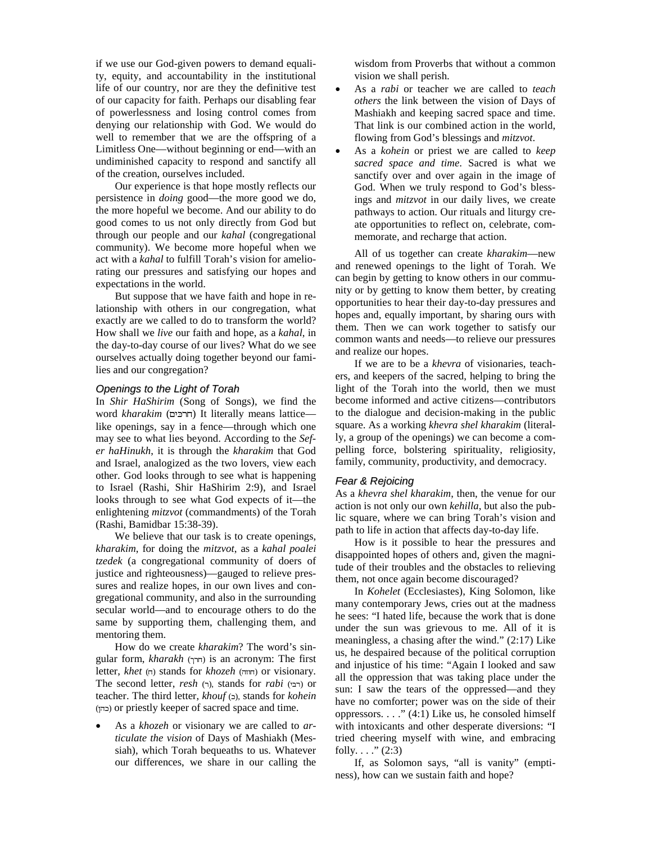if we use our God-given powers to demand equality, equity, and accountability in the institutional life of our country, nor are they the definitive test of our capacity for faith. Perhaps our disabling fear of powerlessness and losing control comes from denying our relationship with God. We would do well to remember that we are the offspring of a Limitless One—without beginning or end—with an undiminished capacity to respond and sanctify all of the creation, ourselves included.

Our experience is that hope mostly reflects our persistence in *doing* good—the more good we do, the more hopeful we become. And our ability to do good comes to us not only directly from God but through our people and our *kahal* (congregational community). We become more hopeful when we act with a *kahal* to fulfill Torah's vision for ameliorating our pressures and satisfying our hopes and expectations in the world.

But suppose that we have faith and hope in relationship with others in our congregation, what exactly are we called to do to transform the world? How shall we *live* our faith and hope, as a *kahal*, in the day-to-day course of our lives? What do we see ourselves actually doing together beyond our families and our congregation?

#### *Openings to the Light of Torah*

In *Shir HaShirim* (Song of Songs), we find the word *kharakim* (חרכים) It literally means lattice like openings, say in a fence—through which one may see to what lies beyond. According to the *Sefer haHinukh*, it is through the *kharakim* that God and Israel, analogized as the two lovers, view each other. God looks through to see what is happening to Israel (Rashi, Shir HaShirim 2:9), and Israel looks through to see what God expects of it—the enlightening *mitzvot* (commandments) of the Torah (Rashi, Bamidbar 15:38-39).

We believe that our task is to create openings, *kharakim*, for doing the *mitzvot*, as a *kahal poalei tzedek* (a congregational community of doers of justice and righteousness)—gauged to relieve pressures and realize hopes, in our own lives and congregational community, and also in the surrounding secular world—and to encourage others to do the same by supporting them, challenging them, and mentoring them.

How do we create *kharakim*? The word's singular form, *kharakh* (חרך) is an acronym: The first letter, *khet* (ה) stands for *khozeh* (חווה) or visionary. The second letter, *resh* (רבי), stands for *rabi* (רבי) or teacher. The third letter, *khouf* (), stands for *kohein* () or priestly keeper of sacred space and time.

• As a *khozeh* or visionary we are called to *articulate the vision* of Days of Mashiakh (Messiah), which Torah bequeaths to us. Whatever our differences, we share in our calling the wisdom from Proverbs that without a common vision we shall perish.

- As a *rabi* or teacher we are called to *teach others* the link between the vision of Days of Mashiakh and keeping sacred space and time. That link is our combined action in the world, flowing from God's blessings and *mitzvot*.
- As a *kohein* or priest we are called to *keep sacred space and time*. Sacred is what we sanctify over and over again in the image of God. When we truly respond to God's blessings and *mitzvot* in our daily lives, we create pathways to action. Our rituals and liturgy create opportunities to reflect on, celebrate, commemorate, and recharge that action.

All of us together can create *kharakim*—new and renewed openings to the light of Torah. We can begin by getting to know others in our community or by getting to know them better, by creating opportunities to hear their day-to-day pressures and hopes and, equally important, by sharing ours with them. Then we can work together to satisfy our common wants and needs—to relieve our pressures and realize our hopes.

If we are to be a *khevra* of visionaries, teachers, and keepers of the sacred, helping to bring the light of the Torah into the world, then we must become informed and active citizens—contributors to the dialogue and decision-making in the public square. As a working *khevra shel kharakim* (literally, a group of the openings) we can become a compelling force, bolstering spirituality, religiosity, family, community, productivity, and democracy.

#### *Fear & Rejoicing*

As a *khevra shel kharakim*, then, the venue for our action is not only our own *kehilla*, but also the public square, where we can bring Torah's vision and path to life in action that affects day-to-day life.

How is it possible to hear the pressures and disappointed hopes of others and, given the magnitude of their troubles and the obstacles to relieving them, not once again become discouraged?

In *Kohelet* (Ecclesiastes), King Solomon, like many contemporary Jews, cries out at the madness he sees: "I hated life, because the work that is done under the sun was grievous to me. All of it is meaningless, a chasing after the wind." (2:17) Like us, he despaired because of the political corruption and injustice of his time: "Again I looked and saw all the oppression that was taking place under the sun: I saw the tears of the oppressed—and they have no comforter; power was on the side of their oppressors. . . ." (4:1) Like us, he consoled himself with intoxicants and other desperate diversions: "I tried cheering myself with wine, and embracing folly.  $\ldots$  ." (2:3)

If, as Solomon says, "all is vanity" (emptiness), how can we sustain faith and hope?